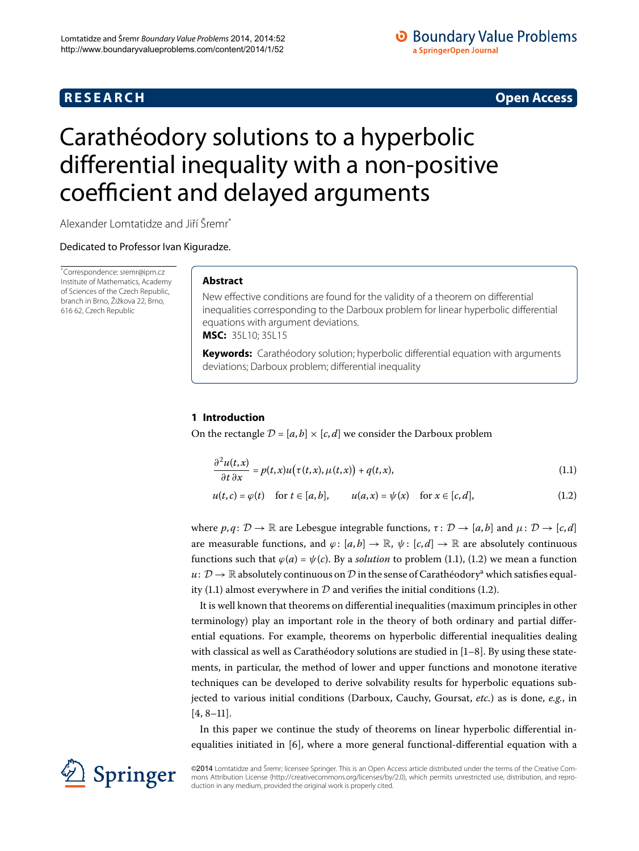# **R E S E A R C H Open Access**

# **O** Boundary Value Problems a SpringerOpen Journal

<span id="page-0-1"></span>

# <span id="page-0-0"></span>Carathéodory solutions to a hyperbolic differential inequality with a non-positive coefficient and delayed arguments

Alexander Lomtatidze and Jiří Šremr<sup>[\\*](#page-0-0)</sup>

Dedicated to Professor Ivan Kiguradze.

\* Correspondence: [sremr@ipm.cz](mailto:sremr@ipm.cz) Institute of Mathematics, Academy of Sciences of the Czech Republic, branch in Brno, Žižkova 22, Brno, 616 62, Czech Republic

## **Abstract**

New effective conditions are found for the validity of a theorem on differential inequalities corresponding to the Darboux problem for linear hyperbolic differential equations with argument deviations. **MSC:** 35L10; 35L15

**Keywords:** Carathéodory solution; hyperbolic differential equation with arguments deviations; Darboux problem; differential inequality

# **1 Introduction**

On the rectangle  $D = [a, b] \times [c, d]$  we consider the Darboux problem

<span id="page-0-2"></span>
$$
\frac{\partial^2 u(t,x)}{\partial t \partial x} = p(t,x)u(\tau(t,x), \mu(t,x)) + q(t,x), \tag{1.1}
$$

 $u(t, c) = \varphi(t)$  for  $t \in [a, b],$   $u(a, x) = \psi(x)$  for  $x \in [c, d],$  (1.2)

where  $p, q: \mathcal{D} \to \mathbb{R}$  are Lebesgue integrable functions,  $\tau: \mathcal{D} \to [a, b]$  and  $\mu: \mathcal{D} \to [c, d]$ are measurable functions, and  $\varphi$ :  $[a, b] \to \mathbb{R}$ ,  $\psi$ :  $[c, d] \to \mathbb{R}$  are absolutely continuous functions such that  $\varphi(a) = \psi(c)$ [.](#page-0-1) By a *solution* to problem (1.1), (1.2) we mean a function  $u: \mathcal{D} \to \mathbb{R}$  $u: \mathcal{D} \to \mathbb{R}$  $u: \mathcal{D} \to \mathbb{R}$  absolutely continuous on  $\mathcal{D}$  in the sense of Carathéodory<sup>a</sup> which satisfies equal-ity (1[.](#page-0-2)1) almost everywhere in  $D$  and verifies the initial conditions (1.2).

It is well known that theorems on differential inequalities (maximum principles in other terminology) play an important role in the theory of both ordinary and partial differential equations. For example, theorems on hyperbolic differential inequalities dealing with classical as well as Carathéodory solutions are studied in  $[1-8]$ . By using these statements, in particular, the method of lower and upper functions and monotone iterative techniques can be developed to derive solvability results for hyperbolic equations subjected to various initial conditions (Darboux, Cauchy, Goursat, *etc.*) as is done, *e.g.*, in  $[4, 8-11]$  $[4, 8-11]$  $[4, 8-11]$ .

In this paper we continue the study of theorems on linear hyperbolic differential inequalities initiated in  $[6]$ , where a more general functional-differential equation with a



©2014 Lomtatidze and Šremr; licensee Springer. This is an Open Access article distributed under the terms of the Creative Commons Attribution License (<http://creativecommons.org/licenses/by/2.0>), which permits unrestricted use, distribution, and reproduction in any medium, provided the original work is properly cited.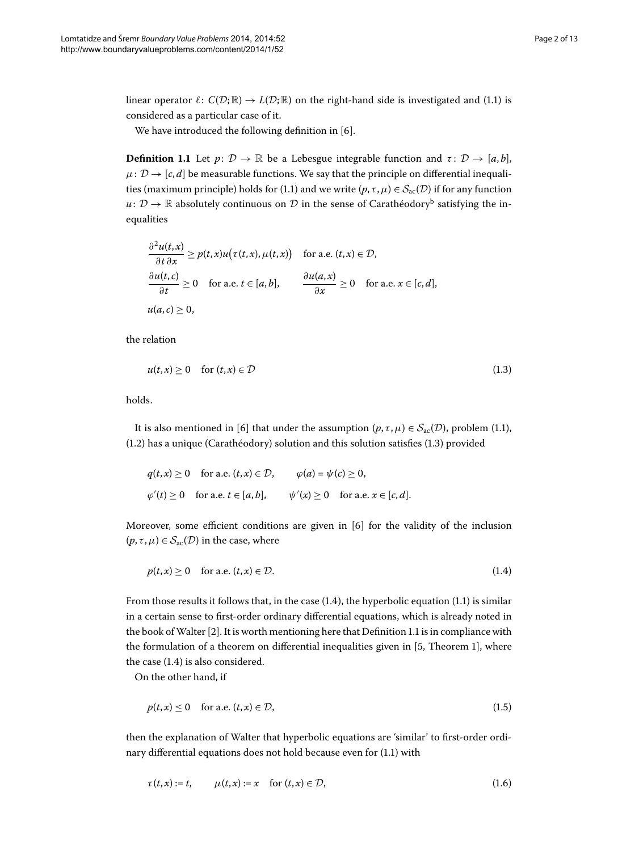<span id="page-1-2"></span>linear operator  $\ell: C(\mathcal{D}; \mathbb{R}) \to L(\mathcal{D}; \mathbb{R})$  on the right-hand side is investigated and (1[.](#page-0-1)1) is considered as a particular case of it.

We have introduced the following definition in  $[6]$  $[6]$ .

**Definition 1.1** Let  $p: \mathcal{D} \to \mathbb{R}$  be a Lebesgue integrable function and  $\tau: \mathcal{D} \to [a, b]$ ,  $\mu: \mathcal{D} \rightarrow [c, d]$  be measurable functions. We say that the principle on differential inequalities (maximum principle) holds for (1.1) and we write  $(p, \tau, \mu) \in S_{ac}(\mathcal{D})$  if for any function  $u: \mathcal{D} \to \mathbb{R}$  $u: \mathcal{D} \to \mathbb{R}$  $u: \mathcal{D} \to \mathbb{R}$  absolutely continuous on  $\mathcal D$  in the sense of Carathéodory<sup>b</sup> satisfying the inequalities

<span id="page-1-0"></span>
$$
\frac{\partial^2 u(t, x)}{\partial t \partial x} \ge p(t, x)u(\tau(t, x), \mu(t, x)) \quad \text{for a.e. } (t, x) \in \mathcal{D},
$$
  

$$
\frac{\partial u(t, c)}{\partial t} \ge 0 \quad \text{for a.e. } t \in [a, b], \qquad \frac{\partial u(a, x)}{\partial x} \ge 0 \quad \text{for a.e. } x \in [c, d],
$$
  

$$
u(a, c) \ge 0,
$$

the relation

$$
u(t,x) \ge 0 \quad \text{for } (t,x) \in \mathcal{D} \tag{1.3}
$$

holds.

It is also mentioned in [6] that under the assumption  $(p, \tau, \mu) \in S_{ac}(\mathcal{D})$ , problem (1.1),  $(1.2)$  $(1.2)$  $(1.2)$  has a unique (Carathéodory) solution and this solution satisfies  $(1.3)$  provided

<span id="page-1-1"></span>
$$
q(t,x) \ge 0 \quad \text{for a.e. } (t,x) \in \mathcal{D}, \qquad \varphi(a) = \psi(c) \ge 0,
$$
  

$$
\varphi'(t) \ge 0 \quad \text{for a.e. } t \in [a,b], \qquad \psi'(x) \ge 0 \quad \text{for a.e. } x \in [c,d].
$$

Moreover, some efficient conditions are given in  $[6]$  $[6]$  for the validity of the inclusion  $(p, \tau, \mu) \in S_{ac}(\mathcal{D})$  in the case, where

<span id="page-1-3"></span>
$$
p(t,x) \ge 0 \quad \text{for a.e. } (t,x) \in \mathcal{D}.\tag{1.4}
$$

From those results it follows that, in the case  $(1.4)$  $(1.4)$  $(1.4)$ , the hyperbolic equation  $(1.1)$  is similar in a certain sense to first-order ordinary differential equations, which is already noted in the book of Walter  $[2]$  $[2]$ [.](#page-1-2) It is worth mentioning here that Definition 1.1 is in compliance with the formulation of a theorem on differential inequalities given in  $[5,$  $[5,$  Theorem 1], where the case  $(1.4)$  $(1.4)$  $(1.4)$  is also considered.

On the other hand, if

<span id="page-1-4"></span>
$$
p(t,x) \le 0 \quad \text{for a.e. } (t,x) \in \mathcal{D},\tag{1.5}
$$

then the explanation of Walter that hyperbolic equations are 'similar' to first-order ordinary differential equations does not hold because even for  $(1.1)$  $(1.1)$  $(1.1)$  with

$$
\tau(t,x) := t, \qquad \mu(t,x) := x \quad \text{for } (t,x) \in \mathcal{D}, \tag{1.6}
$$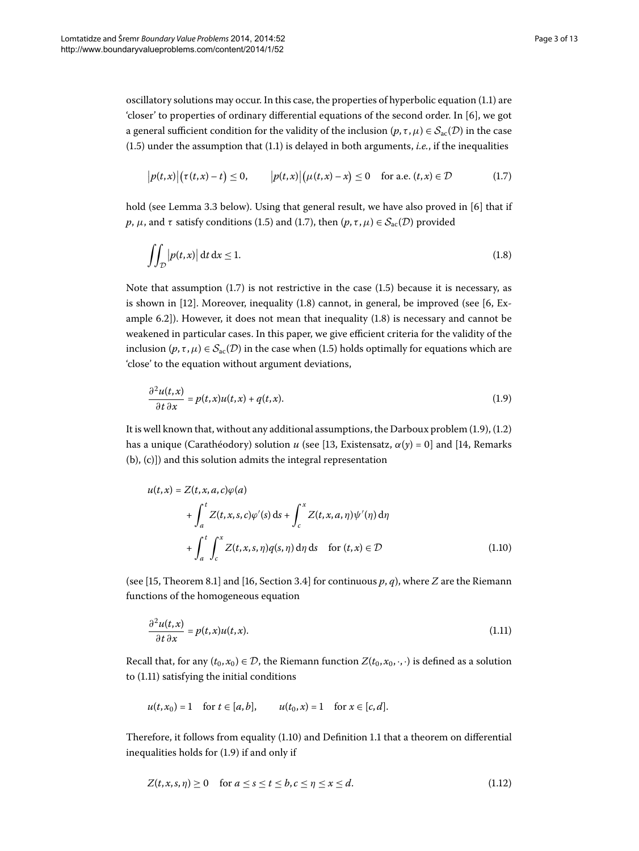oscillatory solutions may occur. In this case, the properties of hyperbolic equation (1.1) are 'closer' to properties of ordinary differential equations of the second order. In  $[6]$ , we got a general sufficient condition for the validity of the inclusion  $(p, \tau, \mu) \in S_{ac}(\mathcal{D})$  in the case  $(1.5)$  $(1.5)$  $(1.5)$  under the assumption that  $(1.1)$  is delayed in both arguments, *i.e.*, if the inequalities

<span id="page-2-1"></span><span id="page-2-0"></span>
$$
|p(t,x)|(\tau(t,x)-t) \le 0, \qquad |p(t,x)|(\mu(t,x)-x) \le 0 \quad \text{for a.e. } (t,x) \in \mathcal{D}
$$
 (1.7)

hold (see Lemma 3[.](#page-6-0)3 below). Using that general result, we have also proved in  $[6]$  that if *p*, *μ*, and *τ* satisfy conditions (1[.](#page-2-0)5) and (1.7), then  $(p, \tau, \mu) \in S_{ac}(\mathcal{D})$  provided

<span id="page-2-2"></span>
$$
\iint_{\mathcal{D}} |p(t,x)| dt dx \le 1.
$$
\n(1.8)

Note that assumption  $(1.7)$  $(1.7)$  $(1.7)$  is not restrictive in the case  $(1.5)$  because it is necessary, as is shown in  $[12]$  $[12]$ . Moreover, inequality  $(1.8)$  cannot, in general, be improved (see  $[6, Ex$ ample  $6.2$ ]). However, it does not mean that inequality  $(1.8)$  is necessary and cannot be weakened in particular cases. In this paper, we give efficient criteria for the validity of the inclusion  $(p, \tau, \mu) \in S_{ac}(\mathcal{D})$  in the case when (1.5) holds optimally for equations which are 'close' to the equation without argument deviations,

$$
\frac{\partial^2 u(t,x)}{\partial t \partial x} = p(t,x)u(t,x) + q(t,x).
$$
\n(1.9)

<span id="page-2-4"></span>It is well known that, without any additional assumptions, the Darboux problem  $(1.9)$  $(1.9)$  $(1.9)$ ,  $(1.2)$ has a unique (Carathéodory) solution *u* (see [13[,](#page-11-11) Existensatz,  $\alpha(y) = 0$ ] and [14, Remarks (b), (c)]) and this solution admits the integral representation

<span id="page-2-3"></span>
$$
u(t,x) = Z(t, x, a, c)\varphi(a)
$$
  
+ 
$$
\int_{a}^{t} Z(t, x, s, c)\varphi'(s) ds + \int_{c}^{x} Z(t, x, a, \eta)\psi'(\eta) d\eta
$$
  
+ 
$$
\int_{a}^{t} \int_{c}^{x} Z(t, x, s, \eta)q(s, \eta) d\eta ds \quad \text{for } (t, x) \in \mathcal{D}
$$
 (1.10)

(see [15[,](#page-11-13) Theorem 8.1] and [16, Section 3.4] for continuous  $p, q$ ), where *Z* are the Riemann functions of the homogeneous equation

$$
\frac{\partial^2 u(t,x)}{\partial t \partial x} = p(t,x)u(t,x). \tag{1.11}
$$

Recall that, for any  $(t_0, x_0) \in \mathcal{D}$ , the Riemann function  $Z(t_0, x_0, \cdot, \cdot)$  is defined as a solution to  $(1.11)$  satisfying the initial conditions

$$
u(t,x_0) = 1
$$
 for  $t \in [a, b]$ ,  $u(t_0,x) = 1$  for  $x \in [c, d]$ .

Therefore, it follows from equality  $(1.10)$  $(1.10)$  $(1.10)$  and Definition 1.1 that a theorem on differential inequalities holds for  $(1.9)$  if and only if

$$
Z(t, x, s, \eta) \ge 0 \quad \text{for } a \le s \le t \le b, c \le \eta \le x \le d. \tag{1.12}
$$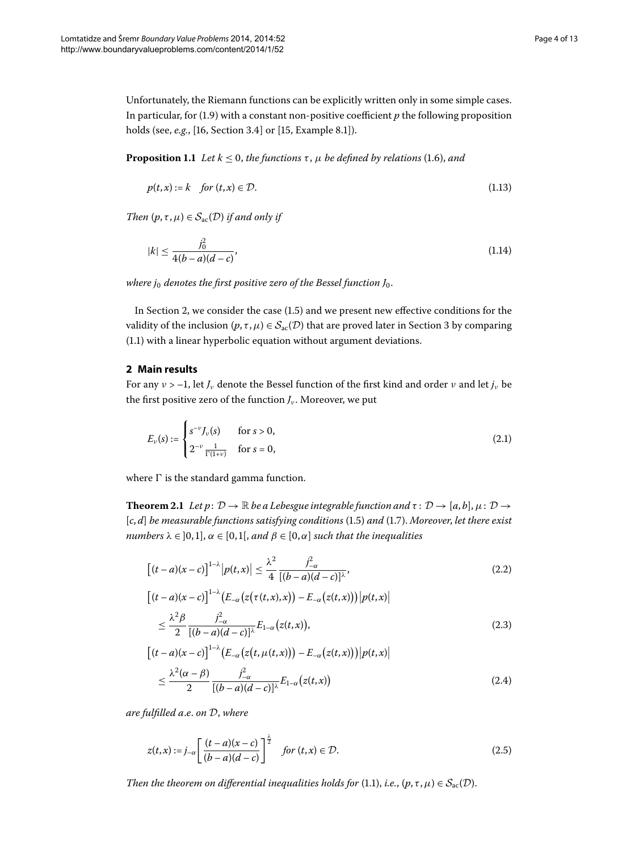<span id="page-3-7"></span>Unfortunately, the Riemann functions can be explicitly written only in some simple cases. In particular, for  $(1.9)$  $(1.9)$  $(1.9)$  with a constant non-positive coefficient  $p$  the following proposition holds (see[,](#page-11-12) *e.g.*, [\[](#page-11-13)16, Section 3.4] or [15, Example 8.1]).

**Proposition 1.1** Let  $k \leq 0$ , the functions  $\tau$ ,  $\mu$  be defined by relations (1.6), and

<span id="page-3-6"></span><span id="page-3-3"></span>
$$
p(t,x) := k \quad \text{for } (t,x) \in \mathcal{D}.\tag{1.13}
$$

*Then*  $(p, \tau, \mu) \in S_{\text{ac}}(\mathcal{D})$  *if and only if* 

$$
|k| \le \frac{j_0^2}{4(b-a)(d-c)},\tag{1.14}
$$

<span id="page-3-0"></span>*where j<sub>0</sub> denotes the first positive zero of the Bessel function J<sub>0</sub>.* 

In Section 2[,](#page-3-0) we consider the case  $(1.5)$  and we present new effective conditions for the validity of the inclusion  $(p, \tau, \mu) \in S_{ac}(\mathcal{D})$  that are proved later in Section 3 by comparing (1[.](#page-0-1)1) with a linear hyperbolic equation without argument deviations.

### **2 Main results**

<span id="page-3-1"></span>For any  $v > -1$ , let  $J_v$  denote the Bessel function of the first kind and order  $v$  and let  $j_v$  be the first positive zero of the function  $J_{\nu}$ . Moreover, we put

<span id="page-3-9"></span><span id="page-3-2"></span>
$$
E_{\nu}(s) := \begin{cases} s^{-\nu} J_{\nu}(s) & \text{for } s > 0, \\ 2^{-\nu} \frac{1}{\Gamma(1+\nu)} & \text{for } s = 0, \end{cases}
$$
 (2.1)

where  $\Gamma$  is the standard gamma function.

**Theorem 2.1** Let  $p: \mathcal{D} \to \mathbb{R}$  be a Lebesgue integrable function and  $\tau: \mathcal{D} \to [a, b], \mu: \mathcal{D} \to$  $[c, d]$  *be measurable functions satisfying conditions* (1.5) *and* (1.7). *Moreover, let there exist numbers*  $\lambda \in ]0,1]$ ,  $\alpha \in [0,1]$ , and  $\beta \in [0,\alpha]$  *such that the inequalities* 

<span id="page-3-4"></span>
$$
\left[ (t-a)(x-c) \right]^{1-\lambda} |p(t,x)| \leq \frac{\lambda^2}{4} \frac{j_{-\alpha}^2}{[(b-a)(d-c)]^{\lambda}}, \tag{2.2}
$$

<span id="page-3-5"></span>
$$
\begin{split} \left[ (t-a)(x-c) \right]^{1-\lambda} & \left( E_{-\alpha} \left( z \big( \tau(t,x),x \big) \right) - E_{-\alpha} \big( z(t,x) \big) \right) \left| p(t,x) \right| \\ &\leq \frac{\lambda^2 \beta}{2} \frac{j^2_{-\alpha}}{\left[ (b-a)(d-c) \right]^{\lambda}} E_{1-\alpha} \big( z(t,x) \big), \end{split} \tag{2.3}
$$

<span id="page-3-8"></span>
$$
\begin{aligned} \left[ (t-a)(x-c) \right]^{1-\lambda} & \left( E_{-\alpha} \left( z(t,\mu(t,x)) \right) - E_{-\alpha} \left( z(t,x) \right) \right) \left| p(t,x) \right| \\ &\leq \frac{\lambda^2 (\alpha - \beta)}{2} \frac{j_{-\alpha}^2}{\left[ (b-a)(d-c) \right]^{\lambda}} E_{1-\alpha} \left( z(t,x) \right) \end{aligned} \tag{2.4}
$$

*are fulfilled a*.*e*. *on* D, *where*

$$
z(t,x) := j_{-\alpha} \left[ \frac{(t-a)(x-c)}{(b-a)(d-c)} \right]^{\frac{\lambda}{2}} \quad \text{for } (t,x) \in \mathcal{D}.
$$

*Then the theorem on differential inequalities holds for* (1.1), *i.e.*,  $(p, \tau, \mu) \in S_{\text{ac}}(\mathcal{D})$ .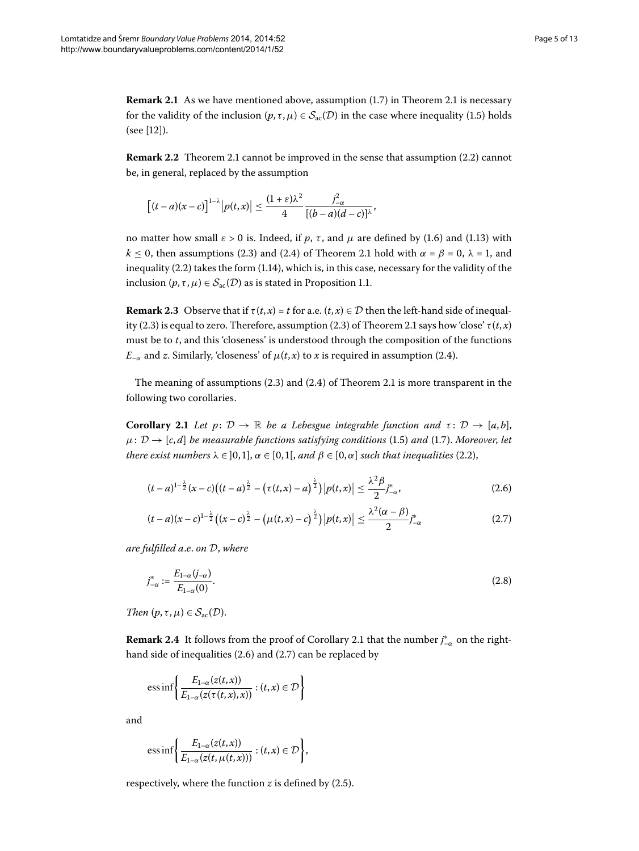**Remark 2[.](#page-3-1)1** As we have mentioned above, assumption (1.7) in Theorem 2.1 is necessary for the validity of the inclusion  $(p, \tau, \mu) \in S_{ac}(\mathcal{D})$  in the case where inequality (1[.](#page-1-3)5) holds  $(see [12]).$  $(see [12]).$  $(see [12]).$ 

**Remark 2[.](#page-3-1)2** Theorem 2.1 cannot be improved in the sense that assumption (2.2) cannot be, in general, replaced by the assumption

$$
\left[ (t-a)(x-c) \right]^{1-\lambda} \left| p(t,x) \right| \leq \frac{(1+\varepsilon)\lambda^2}{4} \frac{j_{-\alpha}^2}{[(b-a)(d-c)]^{\lambda}},
$$

no matter how small  $ε > 0$  is. Indeed, if *p*, *τ*, and *μ* are defined by (1.6) and (1.13) with *k*  $\leq$  0, then assumptions (2[.](#page-3-1)3) and (2.4) of Theorem 2.1 hold with  $\alpha$  =  $\beta$  = 0,  $\lambda$  = 1, and inequality  $(2.2)$  $(2.2)$  $(2.2)$  takes the form  $(1.14)$ , which is, in this case, necessary for the validity of the inclusion  $(p, \tau, \mu) \in S_{ac}(\mathcal{D})$  as is stated in Proposition 1.1.

<span id="page-4-0"></span>**Remark 2.3** Observe that if  $\tau(t, x) = t$  for a.e.  $(t, x) \in \mathcal{D}$  then the left-hand side of inequal-ity (2[.](#page-3-1)3) is equal to zero. Therefore, assumption (2.3) of Theorem 2.1 says how 'close'  $\tau(t, x)$ must be to *t*, and this 'closeness' is understood through the composition of the functions *E*<sub> $-\alpha$ </sub> and *z*. Similarly, 'closeness' of  $\mu(t, x)$  to *x* is required in assumption (2.4).

The meaning of assumptions  $(2.3)$  $(2.3)$  $(2.3)$  and  $(2.4)$  of Theorem 2.1 is more transparent in the following two corollaries.

**Corollary 2.1** Let  $p: \mathcal{D} \to \mathbb{R}$  be a Lebesgue integrable function and  $\tau: \mathcal{D} \to [a, b],$  $\mu$ :  $D \rightarrow [c, d]$  *be measurable functions satisfying conditions* (1.5) *and* (1.7). *Moreover, let there exist numbers*  $\lambda \in [0,1]$ ,  $\alpha \in [0,1]$ , and  $\beta \in [0,\alpha]$  *such that inequalities* (2.2),

<span id="page-4-3"></span><span id="page-4-2"></span><span id="page-4-1"></span>
$$
(t-a)^{1-\frac{\lambda}{2}}(x-c)\big((t-a)^{\frac{\lambda}{2}}-\big(\tau(t,x)-a\big)^{\frac{\lambda}{2}}\big)\big|p(t,x)\big| \leq \frac{\lambda^2\beta}{2}j_{-\alpha}^*,
$$
\n(2.6)

$$
(t-a)(x-c)^{1-\frac{\lambda}{2}}\left((x-c)^{\frac{\lambda}{2}}-(\mu(t,x)-c)^{\frac{\lambda}{2}}\right)|p(t,x)| \leq \frac{\lambda^2(\alpha-\beta)}{2}j_{-\alpha}^* \tag{2.7}
$$

*are fulfilled a*.*e*. *on* D, *where*

$$
j_{-\alpha}^* := \frac{E_{1-\alpha}(j_{-\alpha})}{E_{1-\alpha}(0)}.
$$
\n(2.8)

*Then*  $(p, \tau, \mu) \in S_{ac}(\mathcal{D})$ .

**Remark 2[.](#page-4-0)4** It follows from the proof of Corollary 2.1 that the number  $j^*_{-\alpha}$  on the righthand side of inequalities  $(2.6)$  $(2.6)$  $(2.6)$  and  $(2.7)$  can be replaced by

ess inf 
$$
\left\{ \frac{E_{1-\alpha}(z(t,x))}{E_{1-\alpha}(z(\tau(t,x),x))} : (t,x) \in \mathcal{D} \right\}
$$

and

ess inf 
$$
\left\{ \frac{E_{1-\alpha}(z(t,x))}{E_{1-\alpha}(z(t,\mu(t,x)))} : (t,x) \in \mathcal{D} \right\},\right\}
$$

respectively, where the function  $z$  is defined by  $(2.5)$ .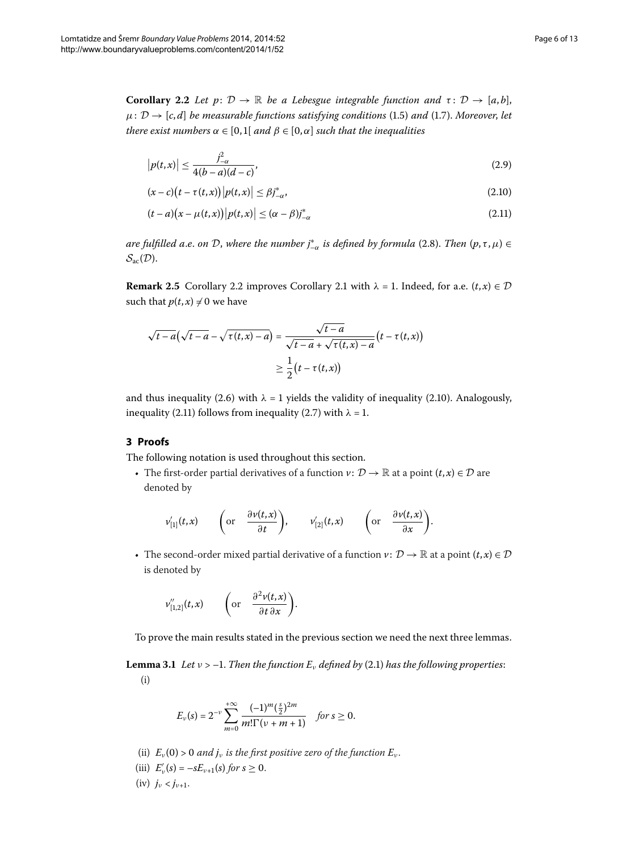<span id="page-5-1"></span>**Corollary 2.2** Let  $p: \mathcal{D} \to \mathbb{R}$  be a Lebesgue integrable function and  $\tau: \mathcal{D} \to [a, b],$  $\mu$ :  $D \rightarrow [c, d]$  *be measurable functions satisfying conditions* (1.5) *and* (1.7). *Moreover, let there exist numbers*  $\alpha \in [0,1]$  *and*  $\beta \in [0,\alpha]$  *such that the inequalities* 

<span id="page-5-3"></span><span id="page-5-2"></span>
$$
|p(t,x)| \le \frac{j_{-\alpha}^2}{4(b-a)(d-c)},
$$
\n(2.9)

$$
(x - c)(t - \tau(t, x)) |p(t, x)| \le \beta j_{-\alpha}^*,
$$
\n(2.10)

$$
(t-a)(x-\mu(t,x))|p(t,x)| \leq (\alpha-\beta)j_{-\alpha}^* \tag{2.11}
$$

*are fulfilled a.e. on D, where the number j* $_{{-\alpha}}^{*}$  *is defined by formula (2.8). Then (p,τ,μ) ∈*  $\mathcal{S}_{\text{ac}}(\mathcal{D}).$ 

**Remark 2[.](#page-4-0)5** Corollary 2.2 improves Corollary 2.1 with  $\lambda = 1$ . Indeed, for a.e.  $(t, x) \in \mathcal{D}$ such that  $p(t, x) \neq 0$  we have

$$
\sqrt{t-a}(\sqrt{t-a}-\sqrt{\tau(t,x)-a})=\frac{\sqrt{t-a}}{\sqrt{t-a}+\sqrt{\tau(t,x)-a}}(t-\tau(t,x))
$$

$$
\geq \frac{1}{2}(t-\tau(t,x))
$$

<span id="page-5-0"></span>and thus inequality (2.6) with  $\lambda = 1$  yields the validity of inequality (2.10). Analogously, inequality (2[.](#page-5-3)11) follows from inequality (2.7) with  $\lambda = 1$ .

#### **3 Proofs**

The following notation is used throughout this section.

• The first-order partial derivatives of a function  $v: \mathcal{D} \to \mathbb{R}$  at a point  $(t, x) \in \mathcal{D}$  are denoted by

$$
v'_{[1]}(t,x) \qquad \bigg(\text{or} \quad \frac{\partial v(t,x)}{\partial t}\bigg), \qquad v'_{[2]}(t,x) \qquad \bigg(\text{or} \quad \frac{\partial v(t,x)}{\partial x}\bigg).
$$

<span id="page-5-8"></span><span id="page-5-4"></span>• The second-order mixed partial derivative of a function  $v: \mathcal{D} \to \mathbb{R}$  at a point  $(t, x) \in \mathcal{D}$ is denoted by

$$
v''_{[1,2]}(t,x) \qquad \bigg(\text{or} \quad \frac{\partial^2 v(t,x)}{\partial t \partial x}\bigg).
$$

To prove the main results stated in the previous section we need the next three lemmas.

<span id="page-5-7"></span><span id="page-5-6"></span><span id="page-5-5"></span>**Lemma 3.1** Let  $v > -1$ . Then the function  $E_v$  defined by (2.1) has the following properties: (i)

$$
E_{\nu}(s) = 2^{-\nu} \sum_{m=0}^{+\infty} \frac{(-1)^m (\frac{s}{2})^{2m}}{m! \Gamma(\nu+m+1)} \quad \text{for } s \ge 0.
$$

- (ii)  $E_v(0) > 0$  and  $j_v$  is the first positive zero of the function  $E_v$ .
- (iii)  $E'_{\nu}(s) = -sE_{\nu+1}(s)$  *for*  $s \ge 0$ .
- (iv)  $j_{\nu} < j_{\nu+1}$ .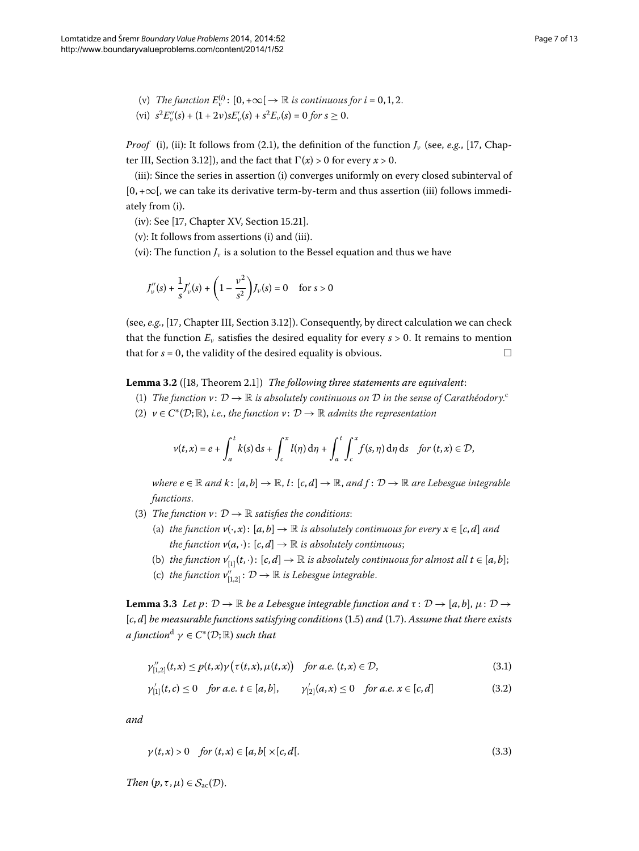<span id="page-6-2"></span><span id="page-6-1"></span>(v) *The function*  $E_v^{(i)}$ :  $[0, +\infty] \to \mathbb{R}$  *is continuous for*  $i = 0, 1, 2$ . (vi)  $s^2 E_v''(s) + (1 + 2v)sE_v'(s) + s^2 E_v(s) = 0$  for  $s \ge 0$ .

*Proof* [\(i\),](#page-5-4) [\(ii\)](#page-5-5): It follows from (2.1)[,](#page-12-0) the definition of the function  $J_\nu$  (see, *e.g.*, [17, Chapter III, Section 3.12]), and the fact that  $\Gamma(x)$  > 0 for every  $x$  > 0.

[\(iii\):](#page-5-6) Since the series in assertion [\(i\)](#page-5-4) converges uniformly on every closed subinterval of  $[0, +\infty]$ , we can take its derivative term-by-term and thus assertion [\(iii\)](#page-5-6) follows immediately from [\(i\)](#page-5-4).

[\(iv\)](#page-5-7): See  $[17, Chapter XV, Section 15.21].$  $[17, Chapter XV, Section 15.21].$ 

[\(v\)](#page-6-1): It follows from assertions [\(i\)](#page-5-4) and [\(iii\)](#page-5-6).

[\(vi\)](#page-6-2): The function  $J_\nu$  is a solution to the Bessel equation and thus we have

<span id="page-6-5"></span>
$$
J''_v(s) + \frac{1}{s} J'_v(s) + \left(1 - \frac{v^2}{s^2}\right) J_v(s) = 0 \quad \text{ for } s > 0
$$

(see, *e.g.*, [17, Chapter III, Section 3.12]). Consequently, by direct calculation we can check that the function  $E_\nu$  satisfies the desired equality for every  $s > 0$ . It remains to mention that for  $s = 0$ , the validity of the desired equality is obvious.

**Lemma 3.2** ([18[,](#page-12-1) Theorem 2.1]) *The following three statements are equivalent:* 

- (1) *The fun[c](#page-11-14)tion*  $v: \mathcal{D} \to \mathbb{R}$  *is absolutely continuous on*  $\mathcal{D}$  *in the sense of Carathéodory.*
- (2)  $v \in C^*(D;\mathbb{R})$ , *i.e.*, the function  $v: D \to \mathbb{R}$  admits the representation

<span id="page-6-6"></span>
$$
v(t,x) = e + \int_a^t k(s) \, ds + \int_c^x l(\eta) \, d\eta + \int_a^t \int_c^x f(s,\eta) \, d\eta \, ds \quad \text{for } (t,x) \in \mathcal{D},
$$

*where*  $e \in \mathbb{R}$  and  $k: [a, b] \to \mathbb{R}$ ,  $l: [c, d] \to \mathbb{R}$ , and  $f: \mathcal{D} \to \mathbb{R}$  are Lebesgue integrable *functions*.

- <span id="page-6-0"></span>(3) *The function*  $v: \mathcal{D} \to \mathbb{R}$  *satisfies the conditions:* 
	- (a) *the function*  $v(\cdot, x)$ :  $[a, b] \to \mathbb{R}$  *is absolutely continuous for every*  $x \in [c, d]$  *and the function*  $v(a, \cdot)$ :  $[c, d] \rightarrow \mathbb{R}$  *is absolutely continuous*;
	- (b) *the function*  $v'_{[1]}(t, \cdot)$ :  $[c, d] \rightarrow \mathbb{R}$  *is absolutely continuous for almost all*  $t \in [a, b]$ ;
	- (c) the function  $v''_{[1,2]}: \mathcal{D} \to \mathbb{R}$  is Lebesgue integrable.

**Lemma 3.3** Let  $p: \mathcal{D} \to \mathbb{R}$  be a Lebesgue integrable function and  $\tau: \mathcal{D} \to [a, b], \mu: \mathcal{D} \to$  $[c, d]$  *be measurable functions satisfying conditions* (1.5) *and* (1.7). Assume that there exists *a* function<sup>[d](#page-11-15)</sup>  $\gamma \in C^*(\mathcal{D}; \mathbb{R})$  *such that* 

<span id="page-6-4"></span><span id="page-6-3"></span>
$$
\gamma_{[1,2]}''(t,x) \le p(t,x)\gamma\left(\tau(t,x),\mu(t,x)\right) \quad \text{for a.e. } (t,x) \in \mathcal{D},\tag{3.1}
$$

$$
\gamma'_{[1]}(t,c) \le 0 \quad \text{for a.e. } t \in [a,b], \qquad \gamma'_{[2]}(a,x) \le 0 \quad \text{for a.e. } x \in [c,d] \tag{3.2}
$$

*and*

$$
\gamma(t,x) > 0 \quad \text{for } (t,x) \in [a,b] \times [c,d]. \tag{3.3}
$$

*Then*  $(p, \tau, \mu) \in S_{\text{ac}}(\mathcal{D})$ .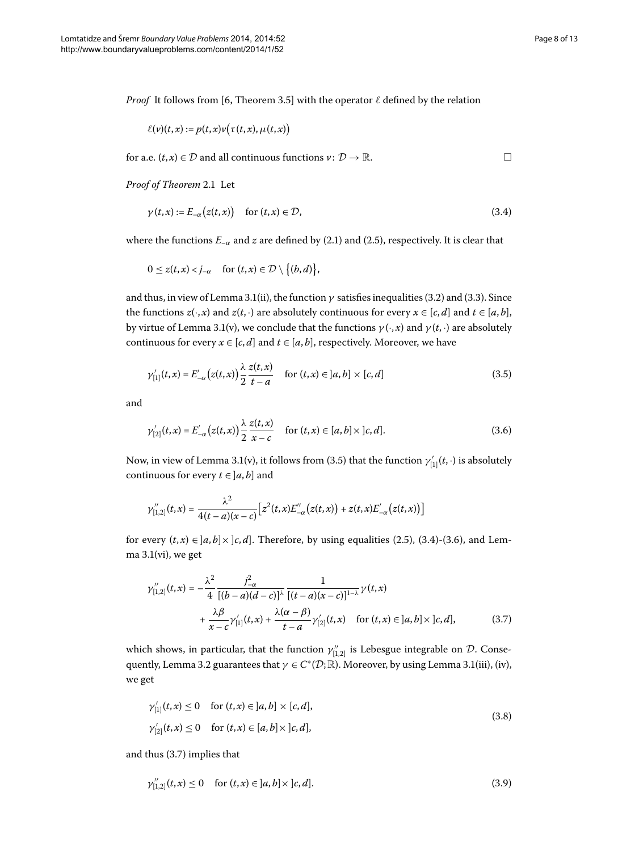<span id="page-7-2"></span><span id="page-7-1"></span><span id="page-7-0"></span> $\Box$ 

*Proof* It follows from [6, Theorem 3.5] with the operator  $\ell$  defined by the relation

$$
\ell(v)(t,x) := p(t,x)v(\tau(t,x), \mu(t,x))
$$

for a.e.  $(t, x) \in \mathcal{D}$  and all continuous functions  $v: \mathcal{D} \to \mathbb{R}$ .

Proof of Theorem 2[.](#page-3-1)1 Let

$$
\gamma(t,x) := E_{-\alpha}(z(t,x)) \quad \text{for } (t,x) \in \mathcal{D},\tag{3.4}
$$

where the functions  $E_{-\alpha}$  and *z* are defined by (2.1) and (2.5), respectively. It is clear that

$$
0\leq z(t,x)
$$

and thus, in view of Lemma 3[.](#page-5-8)1[\(ii\)](#page-5-5), the function  $\gamma$  satisfies inequalities (3.2) and (3.3). Since the functions  $z(\cdot, x)$  and  $z(t, \cdot)$  are absolutely continuous for every  $x \in [c, d]$  and  $t \in [a, b]$ , by virtue of Lemma 3[.](#page-5-8)1[\(v\)](#page-6-1), we conclude that the functions  $\gamma(\cdot, x)$  and  $\gamma(t, \cdot)$  are absolutely continuous for every  $x \in [c, d]$  and  $t \in [a, b]$ , respectively. Moreover, we have

$$
\gamma'_{[1]}(t,x) = E'_{-\alpha}(z(t,x)) \frac{\lambda}{2} \frac{z(t,x)}{t-a} \quad \text{for } (t,x) \in ]a,b] \times [c,d]
$$
\n(3.5)

and

$$
\gamma'_{[2]}(t,x) = E'_{-\alpha}(z(t,x)) \frac{\lambda}{2} \frac{z(t,x)}{x-c} \quad \text{for } (t,x) \in [a,b] \times [c,d].
$$
\n(3.6)

<span id="page-7-3"></span>Now, in view of Lemma 3[.](#page-5-8)1[\(v\)](#page-6-1), it follows from (3.5) that the function  $\gamma'_{[1]}(t,\cdot)$  is absolutely continuous for every  $t \in ]a, b]$  and

$$
\gamma_{[1,2]}''(t,x) = \frac{\lambda^2}{4(t-a)(x-c)} \Big[ z^2(t,x) E_{-\alpha}''(z(t,x)) + z(t,x) E_{-\alpha}'(z(t,x)) \Big]
$$

for every  $(t, x) \in [a, b] \times [c, d]$ [.](#page-7-2) Therefore, by using equalities (2.5), (3.4)-(3.6), and Lemma  $3.1(vi)$  $3.1(vi)$  $3.1(vi)$  $3.1(vi)$ , we get

<span id="page-7-5"></span>
$$
\gamma_{[1,2]}''(t,x) = -\frac{\lambda^2}{4} \frac{j_{-\alpha}^2}{[(b-a)(d-c)]^{\lambda}} \frac{1}{[(t-a)(x-c)]^{1-\lambda}} \gamma(t,x) + \frac{\lambda \beta}{x-c} \gamma_{[1]}'(t,x) + \frac{\lambda(\alpha-\beta)}{t-a} \gamma_{[2]}'(t,x) \quad \text{for } (t,x) \in ]a,b] \times ]c,d],
$$
(3.7)

which shows, in particular, that the function  $\gamma_{[1,2]}''$  is Lebesgue integrable on  ${\cal D}.$  Conse-quently, Lemma 3[.](#page-5-8)2 guarantees that  $\gamma \in C^*(\mathcal{D}; \mathbb{R})$ . Moreover, by using Lemma 3.1[\(iii\)](#page-5-6), [\(iv\)](#page-5-7), we get

<span id="page-7-4"></span>
$$
\gamma'_{[1]}(t,x) \le 0 \quad \text{for } (t,x) \in [a,b] \times [c,d],
$$
\n
$$
\gamma'_{[2]}(t,x) \le 0 \quad \text{for } (t,x) \in [a,b] \times [c,d],
$$
\n(3.8)

and thus  $(3.7)$  implies that

$$
\gamma_{[1,2]}''(t,x) \le 0 \quad \text{for } (t,x) \in ]a,b] \times ]c,d]. \tag{3.9}
$$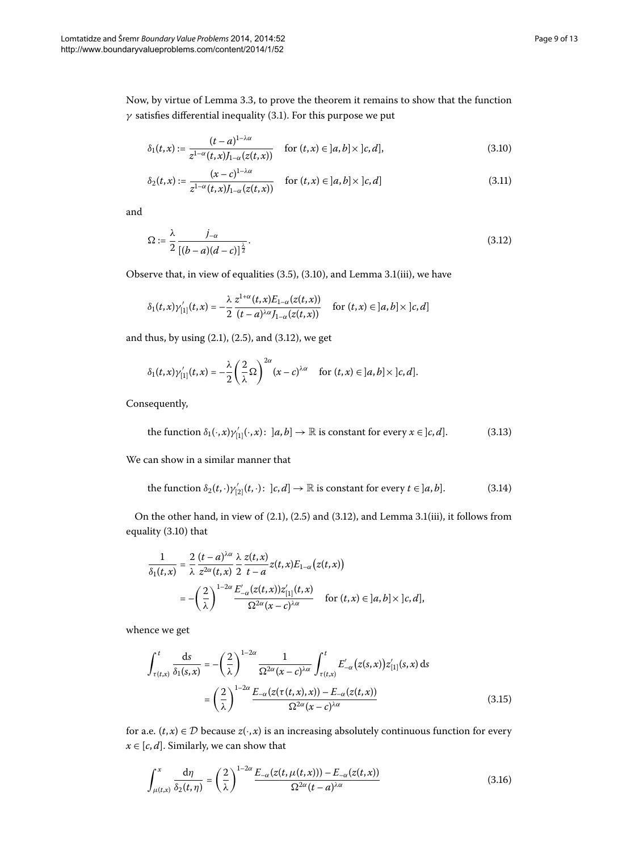Now, by virtue of Lemma 3[.](#page-6-0)3, to prove the theorem it remains to show that the function  $\gamma$  satisfies differential inequality (3[.](#page-6-6)1). For this purpose we put

<span id="page-8-5"></span><span id="page-8-1"></span><span id="page-8-0"></span>
$$
\delta_1(t,x) := \frac{(t-a)^{1-\lambda\alpha}}{z^{1-\alpha}(t,x)J_{1-\alpha}(z(t,x))} \quad \text{for } (t,x) \in ]a,b] \times ]c,d],\tag{3.10}
$$

$$
\delta_2(t,x) := \frac{(x-c)^{1-\lambda\alpha}}{z^{1-\alpha}(t,x)J_{1-\alpha}(z(t,x))} \quad \text{for } (t,x) \in ]a,b] \times ]c,d] \tag{3.11}
$$

and

$$
\Omega := \frac{\lambda}{2} \frac{j_{-\alpha}}{\left[(b-a)(d-c)\right]^{\frac{\lambda}{2}}}.
$$
\n(3.12)

Observe that, in view of equalities  $(3.5)$  $(3.5)$  $(3.5)$ ,  $(3.10)$ , and Lemma 3.1[\(iii\)](#page-5-6), we have

<span id="page-8-2"></span>
$$
\delta_1(t,x)\gamma'_{[1]}(t,x)=-\frac{\lambda}{2}\frac{z^{1+\alpha}(t,x)E_{1-\alpha}(z(t,x))}{(t-a)^{\lambda\alpha}J_{1-\alpha}(z(t,x))}\quad\text{ for }(t,x)\in ]a,b]\times ]c,d]
$$

and thus, by using  $(2.1)$  $(2.1)$  $(2.1)$ ,  $(2.5)$ , and  $(3.12)$ , we get

<span id="page-8-3"></span>
$$
\delta_1(t,x)\gamma'_{[1]}(t,x)=-\frac{\lambda}{2}\left(\frac{2}{\lambda}\Omega\right)^{2\alpha}(x-c)^{\lambda\alpha}\quad\text{for }(t,x)\in ]a,b]\times ]c,d].
$$

Consequently,

the function 
$$
\delta_1(\cdot, x)\gamma'_{[1]}(\cdot, x): [a, b] \to \mathbb{R}
$$
 is constant for every  $x \in [c, d]$ . (3.13)

We can show in a similar manner that

the function 
$$
\delta_2(t, \cdot) \gamma'_{[2]}(t, \cdot): [c, d] \to \mathbb{R}
$$
 is constant for every  $t \in [a, b]$ . (3.14)

On the other hand, in view of  $(2.1)$  $(2.1)$  $(2.1)$ ,  $(2.5)$  and  $(3.12)$ , and Lemma 3.1 $(iii)$ , it follows from equality (3.10) that

<span id="page-8-4"></span>
$$
\frac{1}{\delta_1(t,x)} = \frac{2}{\lambda} \frac{(t-a)^{\lambda \alpha}}{z^{2\alpha}(t,x)} \frac{\lambda}{2} \frac{z(t,x)}{t-a} z(t,x) E_{1-\alpha}(z(t,x))
$$

$$
= -\left(\frac{2}{\lambda}\right)^{1-2\alpha} \frac{E'_{-\alpha}(z(t,x))z'_{[1]}(t,x)}{\Omega^{2\alpha}(x-c)^{\lambda \alpha}} \quad \text{for } (t,x) \in ]a,b] \times ]c,d],
$$

whence we get

<span id="page-8-6"></span>
$$
\int_{\tau(t,x)}^t \frac{ds}{\delta_1(s,x)} = -\left(\frac{2}{\lambda}\right)^{1-2\alpha} \frac{1}{\Omega^{2\alpha}(x-c)^{\lambda\alpha}} \int_{\tau(t,x)}^t E'_{-\alpha}\big(z(s,x)\big) z'_{[1]}(s,x) \, ds
$$
\n
$$
= \left(\frac{2}{\lambda}\right)^{1-2\alpha} \frac{E_{-\alpha}\big(z(\tau(t,x),x)\big) - E_{-\alpha}\big(z(t,x)\big)}{\Omega^{2\alpha}(x-c)^{\lambda\alpha}} \tag{3.15}
$$

for a.e.  $(t, x) \in \mathcal{D}$  because  $z(\cdot, x)$  is an increasing absolutely continuous function for every  $x \in [c, d]$ . Similarly, we can show that

$$
\int_{\mu(t,x)}^{x} \frac{d\eta}{\delta_2(t,\eta)} = \left(\frac{2}{\lambda}\right)^{1-2\alpha} \frac{E_{-\alpha}(z(t,\mu(t,x))) - E_{-\alpha}(z(t,x))}{\Omega^{2\alpha}(t-a)^{\lambda\alpha}}
$$
(3.16)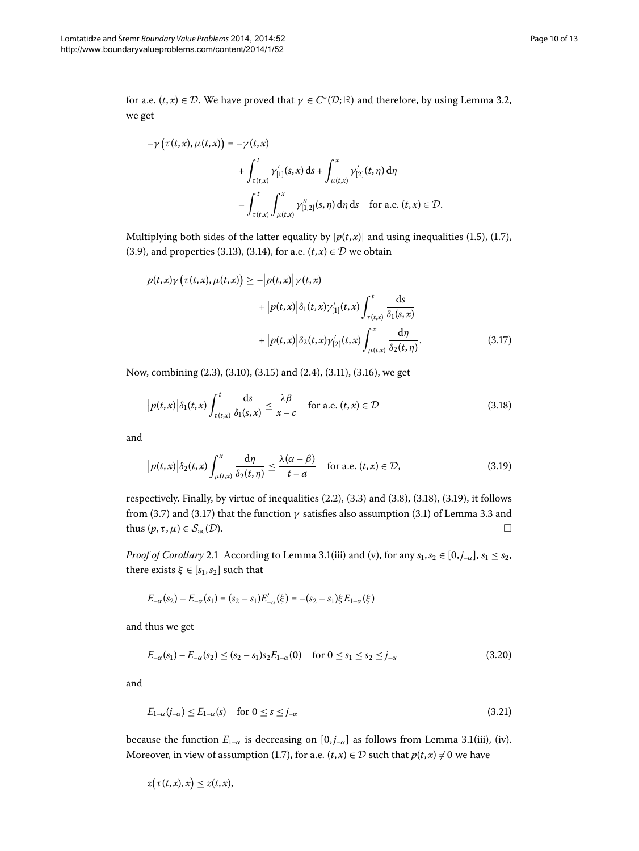for a.e.  $(t, x) \in \mathcal{D}$ . We have proved that  $\gamma \in C^*(\mathcal{D}; \mathbb{R})$  and therefore, by using Lemma 3.2, we get

$$
-\gamma\left(\tau(t,x),\mu(t,x)\right) = -\gamma(t,x)
$$
  
+ 
$$
\int_{\tau(t,x)}^t \gamma_{[1]}(s,x) ds + \int_{\mu(t,x)}^x \gamma_{[2]}'(t,\eta) d\eta
$$
  
- 
$$
\int_{\tau(t,x)}^t \int_{\mu(t,x)}^x \gamma_{[1,2]}''(s,\eta) d\eta ds \quad \text{for a.e. } (t,x) \in \mathcal{D}.
$$

<span id="page-9-2"></span>Multiplying both sides of the latter equality by  $|p(t, x)|$  and using inequalities (1[.](#page-1-3)5), (1.7), (3[.](#page-8-3)9), and properties (3.13), (3.14), for a.e.  $(t, x) \in \mathcal{D}$  we obtain

<span id="page-9-0"></span>
$$
p(t,x)\gamma(\tau(t,x),\mu(t,x)) \ge -|p(t,x)|\gamma(t,x)
$$
  
+ 
$$
|p(t,x)|\delta_1(t,x)\gamma'_{[1]}(t,x)\int_{\tau(t,x)}^t \frac{ds}{\delta_1(s,x)}
$$
  
+ 
$$
|p(t,x)|\delta_2(t,x)\gamma'_{[2]}(t,x)\int_{\mu(t,x)}^x \frac{d\eta}{\delta_2(t,\eta)}.
$$
 (3.17)

Now, combining (2[.](#page-3-5)3), (3.10), (3.15) and (2.4), (3.11), (3.16), we get

<span id="page-9-1"></span>
$$
\left| p(t,x) \right| \delta_1(t,x) \int_{\tau(t,x)}^t \frac{ds}{\delta_1(s,x)} \leq \frac{\lambda \beta}{x-c} \quad \text{for a.e. } (t,x) \in \mathcal{D}
$$
 (3.18)

and

$$
|p(t,x)|\delta_2(t,x)\int_{\mu(t,x)}^x \frac{d\eta}{\delta_2(t,\eta)} \le \frac{\lambda(\alpha-\beta)}{t-a} \quad \text{for a.e. } (t,x) \in \mathcal{D},\tag{3.19}
$$

respectively. Finally, by virtue of inequalities  $(2.2)$ ,  $(3.3)$  and  $(3.8)$ ,  $(3.18)$ ,  $(3.19)$ , it follows from (3[.](#page-6-0)7) and (3.17) that the function  $\gamma$  satisfies also assumption (3.1) of Lemma 3.3 and thus  $(p, \tau, \mu) \in S_{ac}(\mathcal{D}).$ 

*Proof of Corollary* 2[.](#page-5-8)1 According to Lemma 3.1[\(iii\)](#page-5-6) and [\(v\),](#page-6-1) for any  $s_1, s_2 \in [0, j_{-\alpha}]$ ,  $s_1 \leq s_2$ , there exists  $\xi \in [s_1, s_2]$  such that

<span id="page-9-4"></span><span id="page-9-3"></span>
$$
E_{-\alpha}(s_2) - E_{-\alpha}(s_1) = (s_2 - s_1)E'_{-\alpha}(\xi) = -(s_2 - s_1)\xi E_{1-\alpha}(\xi)
$$

and thus we get

$$
E_{-\alpha}(s_1) - E_{-\alpha}(s_2) \le (s_2 - s_1)s_2 E_{1-\alpha}(0) \quad \text{for } 0 \le s_1 \le s_2 \le j_{-\alpha} \tag{3.20}
$$

and

$$
E_{1-\alpha}(j_{-\alpha}) \le E_{1-\alpha}(s) \quad \text{for } 0 \le s \le j_{-\alpha} \tag{3.21}
$$

because the function  $E_{1-\alpha}$  is decreasing on  $[0, j_{-\alpha}]$  as follows from Lemma 3[.](#page-5-8)1[\(iii\),](#page-5-6) [\(iv\)](#page-5-7). Moreover, in view of assumption (1.7), for a.e.  $(t, x) \in D$  such that  $p(t, x) \neq 0$  we have

$$
z(\tau(t,x),x)\leq z(t,x),
$$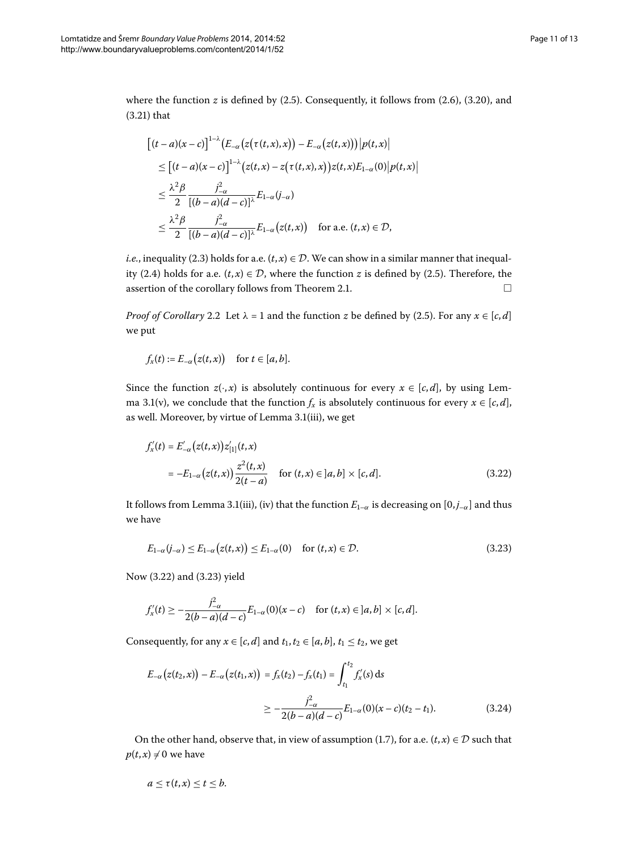where the function  $z$  is defined by  $(2.5)$ . Consequently, it follows from  $(2.6)$ ,  $(3.20)$ , and  $(3.21)$  $(3.21)$  $(3.21)$  that

$$
\begin{split} &\left[ (t-a)(x-c) \right]^{1-\lambda} \left( E_{-\alpha} \left( z(\tau(t,x),x) \right) - E_{-\alpha} \left( z(t,x) \right) \right) \left| p(t,x) \right| \\ &\leq \left[ (t-a)(x-c) \right]^{1-\lambda} \left( z(t,x) - z(\tau(t,x),x) \right) z(t,x) E_{1-\alpha}(0) \left| p(t,x) \right| \\ &\leq \frac{\lambda^2 \beta}{2} \frac{j_{-\alpha}^2}{[(b-a)(d-c)]^{\lambda}} E_{1-\alpha}(j_{-\alpha}) \\ &\leq \frac{\lambda^2 \beta}{2} \frac{j_{-\alpha}^2}{[(b-a)(d-c)]^{\lambda}} E_{1-\alpha}(z(t,x)) \quad \text{for a.e. } (t,x) \in \mathcal{D}, \end{split}
$$

*i.e.*, inequality (2.3) holds for a.e.  $(t, x) \in \mathcal{D}$ . We can show in a similar manner that inequality (2.4) holds for a.e.  $(t, x) \in \mathcal{D}$ , where the function *z* is defined by (2.5). Therefore, the assertion of the corollary follows from Theorem 2[.](#page-3-1)1.  $\Box$ 

<span id="page-10-0"></span>*Proof of Corollary* 2[.](#page-5-1)2 Let  $\lambda = 1$  and the function *z* be defined by (2.5). For any  $x \in [c, d]$ we put

$$
f_x(t) := E_{-\alpha}\big(z(t,x)\big) \quad \text{ for } t \in [a,b].
$$

Since the function  $z(\cdot, x)$  is absolutely continuous for every  $x \in [c, d]$ , by using Lem-ma 3[.](#page-5-8)1[\(v\)](#page-6-1), we conclude that the function  $f_x$  is absolutely continuous for every  $x \in [c, d]$ , as well[.](#page-5-8) Moreover, by virtue of Lemma 3.1[\(iii\)](#page-5-6), we get

<span id="page-10-1"></span>
$$
f'_{x}(t) = E'_{-\alpha}(z(t, x)) z'_{[1]}(t, x)
$$
  
=  $-E_{1-\alpha}(z(t, x)) \frac{z^{2}(t, x)}{2(t - a)}$  for  $(t, x) \in ]a, b] \times [c, d].$  (3.22)

It follows from Lemma 3[.](#page-5-8)1[\(iii\)](#page-5-6), [\(iv\)](#page-5-7) that the function  $E_{1-\alpha}$  is decreasing on [0, $j_{-\alpha}$ ] and thus we have

$$
E_{1-\alpha}(j_{-\alpha}) \le E_{1-\alpha}(z(t,x)) \le E_{1-\alpha}(0) \quad \text{for } (t,x) \in \mathcal{D}.
$$
 (3.23)

<span id="page-10-2"></span>Now  $(3.22)$  and  $(3.23)$  yield

$$
f'_{x}(t) \geq -\frac{j_{-\alpha}^{2}}{2(b-a)(d-c)}E_{1-\alpha}(0)(x-c) \text{ for } (t,x) \in ]a,b] \times [c,d].
$$

Consequently, for any  $x \in [c, d]$  and  $t_1, t_2 \in [a, b]$ ,  $t_1 \le t_2$ , we get

$$
E_{-\alpha}(z(t_2, x)) - E_{-\alpha}(z(t_1, x)) = f_x(t_2) - f_x(t_1) = \int_{t_1}^{t_2} f'_x(s) ds
$$
  

$$
\geq -\frac{j_{-\alpha}^2}{2(b-a)(d-c)} E_{1-\alpha}(0)(x-c)(t_2 - t_1).
$$
 (3.24)

On the other hand, observe that, in view of assumption (1[.](#page-2-0)7), for a.e.  $(t, x) \in \mathcal{D}$  such that  $p(t, x) \neq 0$  we have

$$
a\leq \tau(t,x)\leq t\leq b.
$$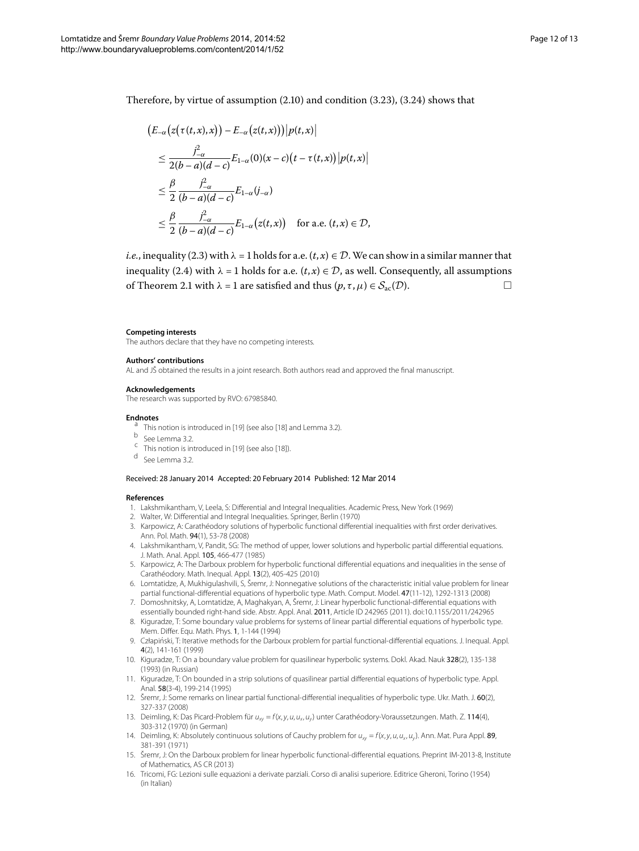Therefore, by virtue of assumption  $(2.10)$  $(2.10)$  $(2.10)$  and condition  $(3.23)$ ,  $(3.24)$  shows that

$$
\begin{aligned} \left( E_{-\alpha} \left( z \big( \tau(t,x),x \big) \right) - E_{-\alpha} \left( z(t,x) \big) \right) \middle| p(t,x) \right| \\ &\leq \frac{j_{-\alpha}^2}{2(b-a)(d-c)} E_{1-\alpha}(0)(x-c) \left( t - \tau(t,x) \right) \left| p(t,x) \right| \\ &\leq \frac{\beta}{2} \frac{j_{-\alpha}^2}{(b-a)(d-c)} E_{1-\alpha}(j_{-\alpha}) \\ &\leq \frac{\beta}{2} \frac{j_{-\alpha}^2}{(b-a)(d-c)} E_{1-\alpha}(z(t,x)) \quad \text{for a.e. } (t,x) \in \mathcal{D}, \end{aligned}
$$

*i.e.*, inequality (2.3) with  $\lambda = 1$  holds for a.e.  $(t, x) \in \mathcal{D}$ . We can show in a similar manner that inequality (2[.](#page-3-5)4) with  $\lambda = 1$  holds for a.e.  $(t, x) \in \mathcal{D}$ , as well. Consequently, all assumptions of Theorem 2[.](#page-3-1)1 with  $\lambda = 1$  are satisfied and thus  $(p, \tau, \mu) \in S_{ac}(\mathcal{D})$ .

#### <span id="page-11-6"></span><span id="page-11-0"></span>**Competing interests**

<span id="page-11-14"></span>The authors declare that they have no competing interests.

#### <span id="page-11-15"></span>**Authors' contributions**

AL and JŠ obtained the results in a joint research. Both authors read and approved the final manuscript.

# **Acknowledgements**

The research was supported by RVO: 67985840.

- <span id="page-11-7"></span><span id="page-11-1"></span>**Endnotes**<br>
<sup>a</sup> This notion is introduced in [[19](#page-12-2)] (see also [[18\]](#page-12-1) and Lemma [3.2](#page-6-5)).<br>
<sup>b</sup> See Lemma 3.2.
	-
- <span id="page-11-3"></span> $\frac{c}{2}$  This notion is introduced in [[19](#page-12-2)] (see also [[18\]](#page-12-1)).
- <sup>d</sup> See Lemma [3.2](#page-6-5).

#### <span id="page-11-8"></span><span id="page-11-5"></span>Received: 28 January 2014 Accepted: 20 February 2014 Published: 12 Mar 2014

#### **References**

- 1. Lakshmikantham, V, Leela, S: Differential and Integral Inequalities. Academic Press, New York (1969)
- <span id="page-11-2"></span>2. Walter, W: Differential and Integral Inequalities. Springer, Berlin (1970)
- 3. Karpowicz, A: Carathéodory solutions of hyperbolic functional differential inequalities with first order derivatives. Ann. Pol. Math. 94(1), 53-78 (2008)
- 4. Lakshmikantham, V, Pandit, SG: The method of upper, lower solutions and hyperbolic partial differential equations. J. Math. Anal. Appl. 105, 466-477 (1985)
- 5. Karpowicz, A: The Darboux problem for hyperbolic functional differential equations and inequalities in the sense of Carathéodory. Math. Inequal. Appl. 13(2), 405-425 (2010)
- <span id="page-11-4"></span>6. Lomtatidze, A, Mukhigulashvili, S, Šremr, J: Nonnegative solutions of the characteristic initial value problem for linear partial functional-differential equations of hyperbolic type. Math. Comput. Model. 47(11-12), 1292-1313 (2008)
- <span id="page-11-9"></span>7. Domoshnitsky, A, Lomtatidze, A, Maghakyan, A, Šremr, J: Linear hyperbolic functional-differential equations with essentially bounded right-hand side. Abstr. Appl. Anal. 2011, Article ID 242965 (2011). doi:[10.1155/2011/242965](http://dx.doi.org/10.1155/2011/242965)
- <span id="page-11-10"></span>8. Kiguradze, T: Some boundary value problems for systems of linear partial differential equations of hyperbolic type. Mem. Differ. Equ. Math. Phys. 1, 1-144 (1994)
- 9. Człapinski, T: Iterative methods for the Darboux problem for partial functional-differential equations. J. Inequal. Appl. ´ 4(2), 141-161 (1999)
- <span id="page-11-12"></span><span id="page-11-11"></span>10. Kiguradze, T: On a boundary value problem for quasilinear hyperbolic systems. Dokl. Akad. Nauk 328(2), 135-138 (1993) (in Russian)
- <span id="page-11-13"></span>11. Kiguradze, T: On bounded in a strip solutions of quasilinear partial differential equations of hyperbolic type. Appl. Anal. 58(3-4), 199-214 (1995)
- 12. Šremr, J: Some remarks on linear partial functional-differential inequalities of hyperbolic type. Ukr. Math. J. 60(2), 327-337 (2008)
- 13. Deimling, K: Das Picard-Problem für  $u_{xy} = f(x, y, u, u_x, u_y)$  unter Carathéodory-Voraussetzungen. Math. Z. 114(4), 303-312 (1970) (in German)
- 14. Deimling, K: Absolutely continuous solutions of Cauchy problem for  $u_{xy} = f(x, y, u, u_x, u_y)$ . Ann. Mat. Pura Appl. 89, 381-391 (1971)
- 15. Šremr, J: On the Darboux problem for linear hyperbolic functional-differential equations. Preprint IM-2013-8, Institute of Mathematics, AS CR (2013)
- 16. Tricomi, FG: Lezioni sulle equazioni a derivate parziali. Corso di analisi superiore. Editrice Gheroni, Torino (1954) (in Italian)